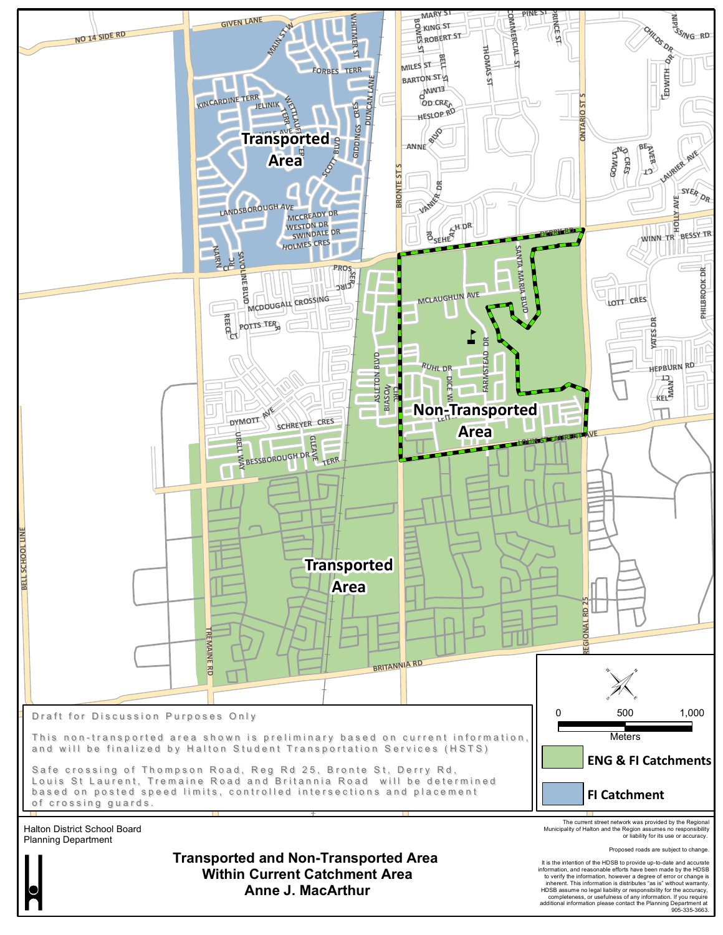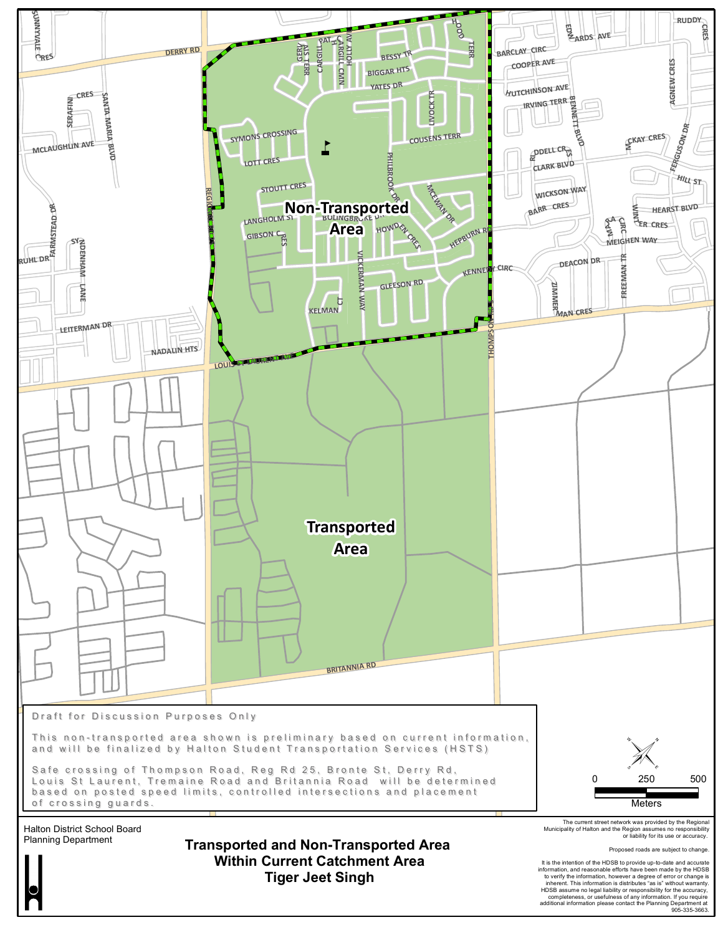